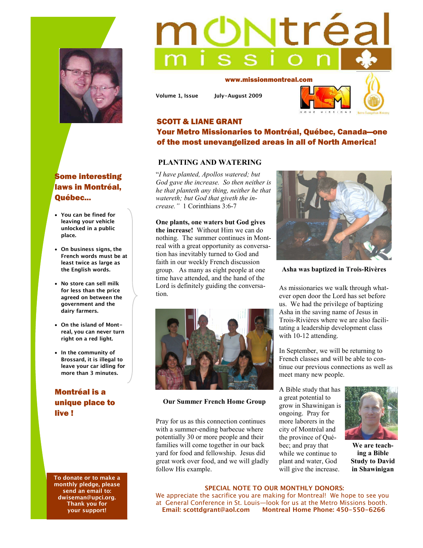

# Some interesting laws in Montréal, Québec...

- **You can be fined for leaving your vehicle unlocked in a public place.**
- **On business signs, the French words must be at least twice as large as the English words.**
- **No store can sell milk for less than the price agreed on between the government and the dairy farmers.**
- **On the island of Montreal, you can never turn right on a red light.**
- **In the community of Brossard, it is illegal to leave your car idling for more than 3 minutes.**

# Montréal is a unique place to live !

**To donate or to make a monthly pledge, please send an email to: dwiseman@upci.org. Thank you for your support!** 

# tréa

www.missionmontreal.com

**Volume 1, Issue July-August 2009** 



## SCOTT & LIANE GRANT Your Metro Missionaries to Montréal, Québec, Canada—one of the most unevangelized areas in all of North America!

### **PLANTING AND WATERING**

"*I have planted, Apollos watered; but God gave the increase. So then neither is he that planteth any thing, neither he that watereth; but God that giveth the increase."* 1 Corinthians 3:6-7

**One plants, one waters but God gives the increase!** Without Him we can do nothing. The summer continues in Montreal with a great opportunity as conversation has inevitably turned to God and faith in our weekly French discussion group. As many as eight people at one time have attended, and the hand of the Lord is definitely guiding the conversation.



### **Our Summer French Home Group**

Pray for us as this connection continues with a summer-ending barbecue where potentially 30 or more people and their families will come together in our back yard for food and fellowship. Jesus did great work over food, and we will gladly follow His example.



**Asha was baptized in Trois-Rivères** 

As missionaries we walk through whatever open door the Lord has set before us. We had the privilege of baptizing Asha in the saving name of Jesus in Trois-Rivières where we are also facilitating a leadership development class with 10-12 attending.

In September, we will be returning to French classes and will be able to continue our previous connections as well as meet many new people.

A Bible study that has a great potential to grow in Shawinigan is ongoing. Pray for more laborers in the city of Montréal and the province of Québec; and pray that while we continue to plant and water, God will give the increase.



**We are teaching a Bible Study to David in Shawinigan** 

### **SPECIAL NOTE TO OUR MONTHLY DONORS:**

We appreciate the sacrifice you are making for Montreal! We hope to see you at General Conference in St. Louis—look for us at the Metro Missions booth.  **Email: scottdgrant@aol.com Montreal Home Phone: 450-550-6266**